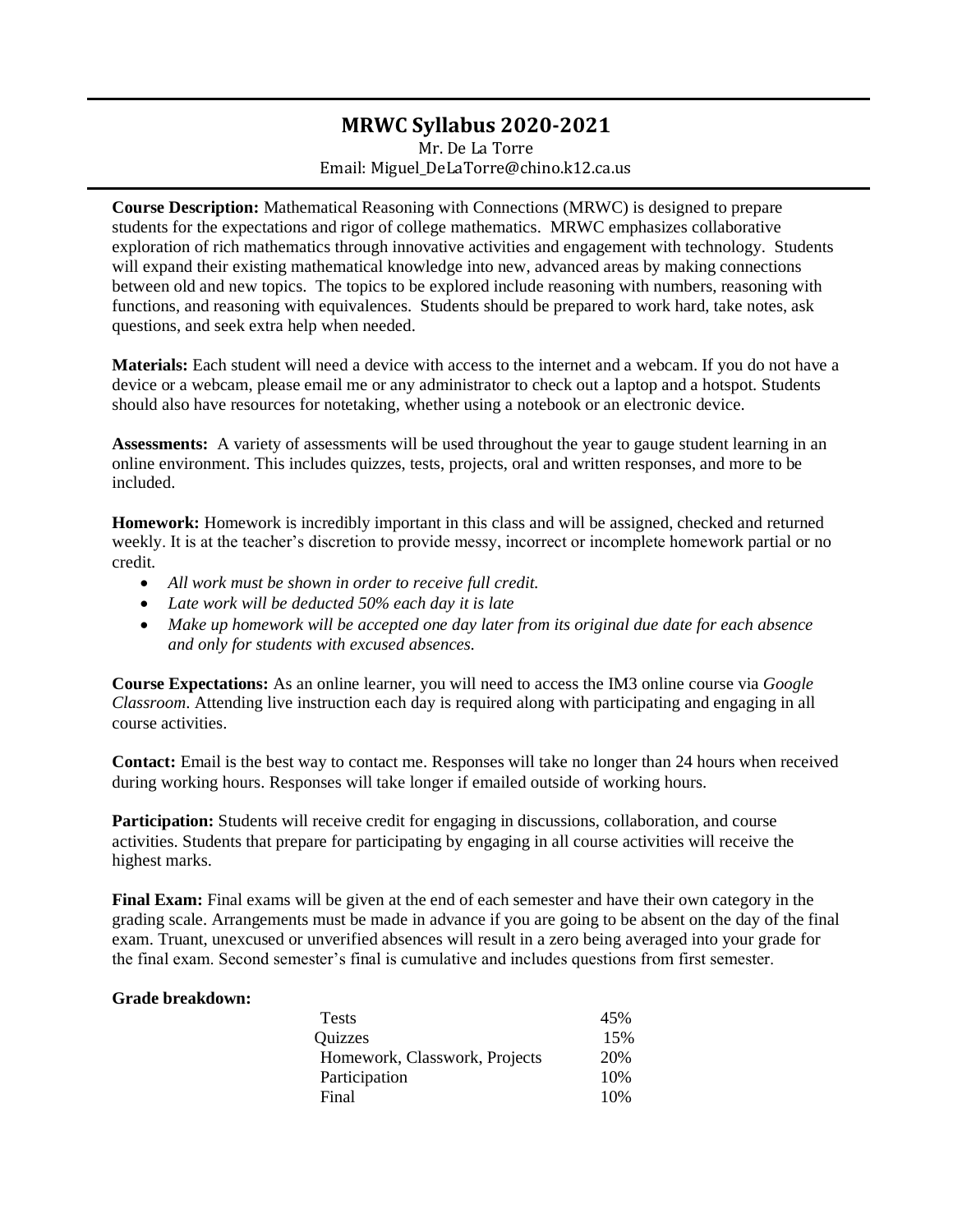## **MRWC Syllabus 2020-2021**

Mr. De La Torre Email: Miguel\_DeLaTorre@chino.k12.ca.us

**Course Description:** Mathematical Reasoning with Connections (MRWC) is designed to prepare students for the expectations and rigor of college mathematics. MRWC emphasizes collaborative exploration of rich mathematics through innovative activities and engagement with technology. Students will expand their existing mathematical knowledge into new, advanced areas by making connections between old and new topics. The topics to be explored include reasoning with numbers, reasoning with functions, and reasoning with equivalences. Students should be prepared to work hard, take notes, ask questions, and seek extra help when needed.

**Materials:** Each student will need a device with access to the internet and a webcam. If you do not have a device or a webcam, please email me or any administrator to check out a laptop and a hotspot. Students should also have resources for notetaking, whether using a notebook or an electronic device.

**Assessments:** A variety of assessments will be used throughout the year to gauge student learning in an online environment. This includes quizzes, tests, projects, oral and written responses, and more to be included.

**Homework:** Homework is incredibly important in this class and will be assigned, checked and returned weekly. It is at the teacher's discretion to provide messy, incorrect or incomplete homework partial or no credit.

- *All work must be shown in order to receive full credit.*
- *Late work will be deducted 50% each day it is late*
- *Make up homework will be accepted one day later from its original due date for each absence and only for students with excused absences.*

**Course Expectations:** As an online learner, you will need to access the IM3 online course via *Google Classroom*. Attending live instruction each day is required along with participating and engaging in all course activities.

**Contact:** Email is the best way to contact me. Responses will take no longer than 24 hours when received during working hours. Responses will take longer if emailed outside of working hours.

Participation: Students will receive credit for engaging in discussions, collaboration, and course activities. Students that prepare for participating by engaging in all course activities will receive the highest marks.

**Final Exam:** Final exams will be given at the end of each semester and have their own category in the grading scale. Arrangements must be made in advance if you are going to be absent on the day of the final exam. Truant, unexcused or unverified absences will result in a zero being averaged into your grade for the final exam. Second semester's final is cumulative and includes questions from first semester.

## **Grade breakdown:**

| Tests                         | 45% |
|-------------------------------|-----|
| Quizzes                       | 15% |
| Homework, Classwork, Projects | 20% |
| Participation                 | 10% |
| Final                         | 10% |